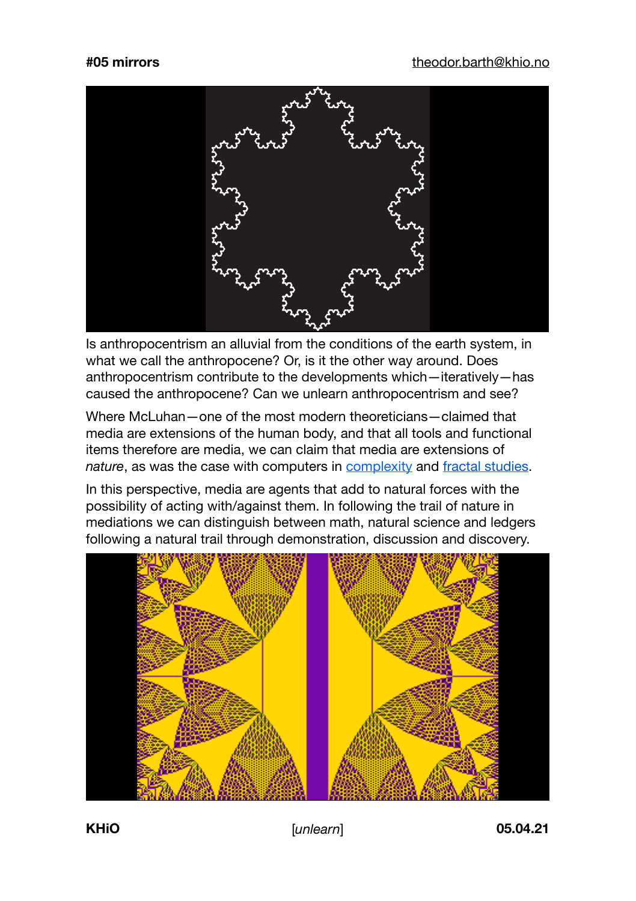

Is anthropocentrism an alluvial from the conditions of the earth system, in what we call the anthropocene? Or, is it the other way around. Does anthropocentrism contribute to the developments which—iteratively—has caused the anthropocene? Can we unlearn anthropocentrism and see?

Where McLuhan-one of the most modern theoreticians-claimed that media are extensions of the human body, and that all tools and functional items therefore are media, we can claim that media are extensions of *nature*, as was the case with computers in [complexity](https://en.wikipedia.org/wiki/Abelian_sandpile_model) and [fractal studies.](https://no.wikipedia.org/wiki/Beno%C3%AEt_Mandelbrot)

In this perspective, media are agents that add to natural forces with the possibility of acting with/against them. In following the trail of nature in mediations we can distinguish between math, natural science and ledgers following a natural trail through demonstration, discussion and discovery.